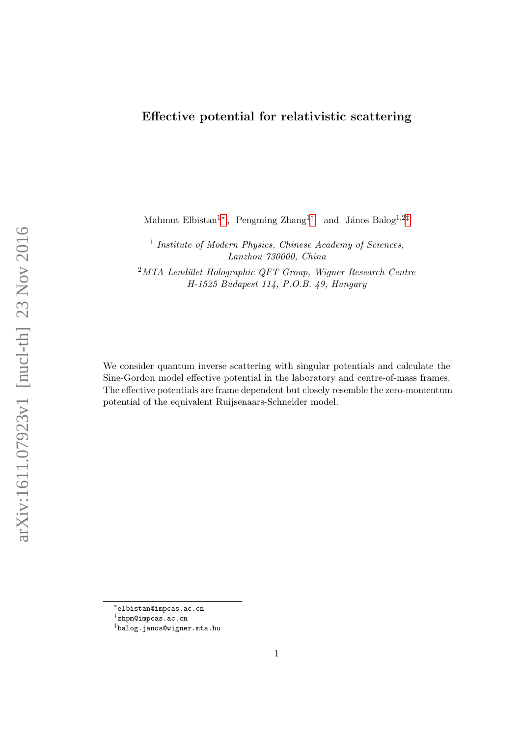## Effective potential for relativistic scattering

Mahmut Elbistan<sup>1</sup><sup>\*</sup>, Pengming Zhang<sup>1[†](#page-0-1)</sup> and János Balog<sup>1,2[‡](#page-0-2)</sup>

<sup>1</sup> Institute of Modern Physics, Chinese Academy of Sciences, Lanzhou 730000, China

 $2<sup>2</sup>MTA$  Lendület Holographic QFT Group, Wigner Research Centre H-1525 Budapest 114, P.O.B. 49, Hungary

We consider quantum inverse scattering with singular potentials and calculate the Sine-Gordon model effective potential in the laboratory and centre-of-mass frames. The effective potentials are frame dependent but closely resemble the zero-momentum potential of the equivalent Ruijsenaars-Schneider model.

<span id="page-0-0"></span><sup>∗</sup> elbistan@impcas.ac.cn

<span id="page-0-1"></span><sup>†</sup> zhpm@impcas.ac.cn

<span id="page-0-2"></span><sup>‡</sup> balog.janos@wigner.mta.hu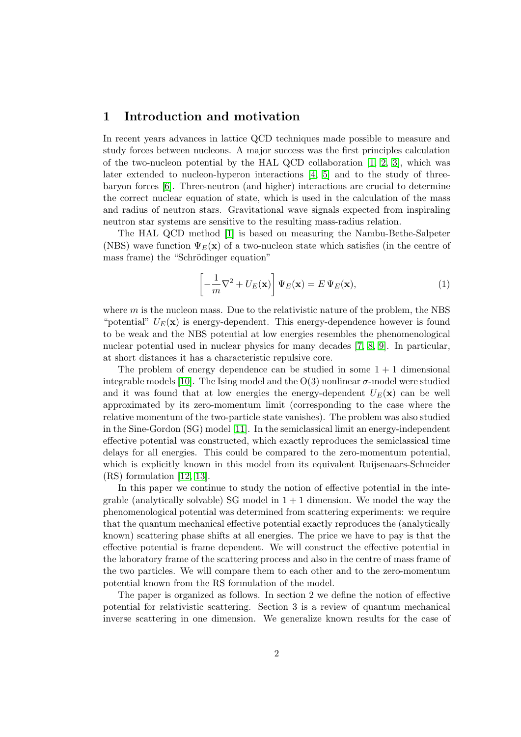### 1 Introduction and motivation

In recent years advances in lattice QCD techniques made possible to measure and study forces between nucleons. A major success was the first principles calculation of the two-nucleon potential by the HAL QCD collaboration  $[1, 2, 3]$  $[1, 2, 3]$  $[1, 2, 3]$ , which was later extended to nucleon-hyperon interactions [\[4,](#page-21-3) [5\]](#page-21-4) and to the study of threebaryon forces [\[6\]](#page-21-5). Three-neutron (and higher) interactions are crucial to determine the correct nuclear equation of state, which is used in the calculation of the mass and radius of neutron stars. Gravitational wave signals expected from inspiraling neutron star systems are sensitive to the resulting mass-radius relation.

The HAL QCD method [\[1\]](#page-21-0) is based on measuring the Nambu-Bethe-Salpeter (NBS) wave function  $\Psi_E(\mathbf{x})$  of a two-nucleon state which satisfies (in the centre of mass frame) the "Schrödinger equation"

$$
\left[-\frac{1}{m}\nabla^2 + U_E(\mathbf{x})\right]\Psi_E(\mathbf{x}) = E\Psi_E(\mathbf{x}),\tag{1}
$$

where  $m$  is the nucleon mass. Due to the relativistic nature of the problem, the NBS "potential"  $U_F(\mathbf{x})$  is energy-dependent. This energy-dependence however is found to be weak and the NBS potential at low energies resembles the phenomenological nuclear potential used in nuclear physics for many decades [\[7,](#page-21-6) [8,](#page-21-7) [9\]](#page-21-8). In particular, at short distances it has a characteristic repulsive core.

The problem of energy dependence can be studied in some  $1 + 1$  dimensional integrable models [\[10\]](#page-22-0). The Ising model and the  $O(3)$  nonlinear  $\sigma$ -model were studied and it was found that at low energies the energy-dependent  $U_E(\mathbf{x})$  can be well approximated by its zero-momentum limit (corresponding to the case where the relative momentum of the two-particle state vanishes). The problem was also studied in the Sine-Gordon (SG) model [\[11\]](#page-22-1). In the semiclassical limit an energy-independent effective potential was constructed, which exactly reproduces the semiclassical time delays for all energies. This could be compared to the zero-momentum potential, which is explicitly known in this model from its equivalent Ruijsenaars-Schneider (RS) formulation [\[12,](#page-22-2) [13\]](#page-22-3).

In this paper we continue to study the notion of effective potential in the integrable (analytically solvable) SG model in  $1 + 1$  dimension. We model the way the phenomenological potential was determined from scattering experiments: we require that the quantum mechanical effective potential exactly reproduces the (analytically known) scattering phase shifts at all energies. The price we have to pay is that the effective potential is frame dependent. We will construct the effective potential in the laboratory frame of the scattering process and also in the centre of mass frame of the two particles. We will compare them to each other and to the zero-momentum potential known from the RS formulation of the model.

The paper is organized as follows. In section 2 we define the notion of effective potential for relativistic scattering. Section 3 is a review of quantum mechanical inverse scattering in one dimension. We generalize known results for the case of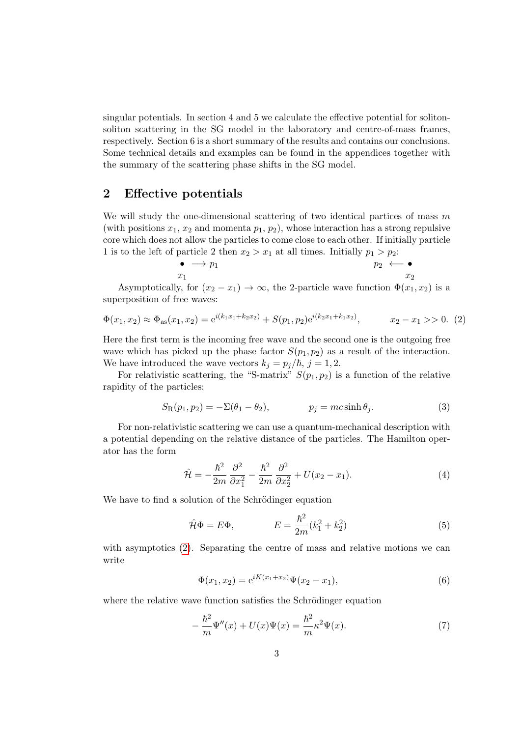singular potentials. In section 4 and 5 we calculate the effective potential for solitonsoliton scattering in the SG model in the laboratory and centre-of-mass frames, respectively. Section 6 is a short summary of the results and contains our conclusions. Some technical details and examples can be found in the appendices together with the summary of the scattering phase shifts in the SG model.

### 2 Effective potentials

We will study the one-dimensional scattering of two identical partices of mass  $m$ (with positions  $x_1, x_2$  and momenta  $p_1, p_2$ ), whose interaction has a strong repulsive core which does not allow the particles to come close to each other. If initially particle 1 is to the left of particle 2 then  $x_2 > x_1$  at all times. Initially  $p_1 > p_2$ :

$$
\bullet \longrightarrow p_1 \qquad \qquad p_2 \longleftarrow \bullet \\ x_1 \qquad \qquad x_2
$$

Asymptotically, for  $(x_2 - x_1) \rightarrow \infty$ , the 2-particle wave function  $\Phi(x_1, x_2)$  is a superposition of free waves:

<span id="page-2-0"></span>
$$
\Phi(x_1, x_2) \approx \Phi_{\text{as}}(x_1, x_2) = e^{i(k_1 x_1 + k_2 x_2)} + S(p_1, p_2)e^{i(k_2 x_1 + k_1 x_2)}, \qquad x_2 - x_1 >> 0. \tag{2}
$$

Here the first term is the incoming free wave and the second one is the outgoing free wave which has picked up the phase factor  $S(p_1, p_2)$  as a result of the interaction. We have introduced the wave vectors  $k_j = p_j/\hbar, j = 1, 2$ .

For relativistic scattering, the "S-matrix"  $S(p_1, p_2)$  is a function of the relative rapidity of the particles:

$$
S_{\mathcal{R}}(p_1, p_2) = -\Sigma(\theta_1 - \theta_2), \qquad p_j = mc \sinh \theta_j. \tag{3}
$$

For non-relativistic scattering we can use a quantum-mechanical description with a potential depending on the relative distance of the particles. The Hamilton operator has the form

$$
\hat{\mathcal{H}} = -\frac{\hbar^2}{2m} \frac{\partial^2}{\partial x_1^2} - \frac{\hbar^2}{2m} \frac{\partial^2}{\partial x_2^2} + U(x_2 - x_1). \tag{4}
$$

We have to find a solution of the Schrödinger equation

$$
\hat{\mathcal{H}}\Phi = E\Phi,
$$
\n
$$
E = \frac{\hbar^2}{2m}(k_1^2 + k_2^2)
$$
\n(5)

with asymptotics [\(2\)](#page-2-0). Separating the centre of mass and relative motions we can write

$$
\Phi(x_1, x_2) = e^{iK(x_1 + x_2)}\Psi(x_2 - x_1),\tag{6}
$$

where the relative wave function satisfies the Schrödinger equation

$$
-\frac{\hbar^2}{m}\Psi''(x) + U(x)\Psi(x) = \frac{\hbar^2}{m}\kappa^2\Psi(x).
$$
\n(7)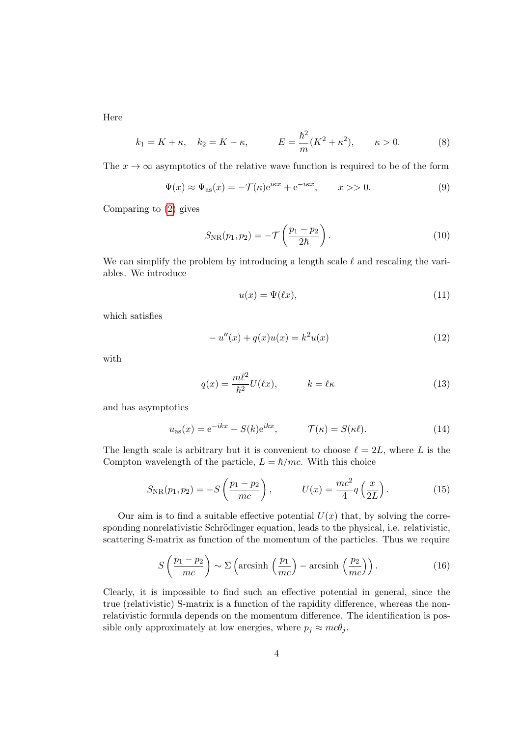Here

$$
k_1 = K + \kappa, \quad k_2 = K - \kappa, \qquad E = \frac{\hbar^2}{m}(K^2 + \kappa^2), \qquad \kappa > 0.
$$
 (8)

The  $x \to \infty$  asymptotics of the relative wave function is required to be of the form

$$
\Psi(x) \approx \Psi_{\text{as}}(x) = -\mathcal{T}(\kappa)e^{i\kappa x} + e^{-i\kappa x}, \qquad x > 0. \tag{9}
$$

Comparing to [\(2\)](#page-2-0) gives

$$
S_{\rm NR}(p_1, p_2) = -\mathcal{T}\left(\frac{p_1 - p_2}{2\hbar}\right). \tag{10}
$$

We can simplify the problem by introducing a length scale  $\ell$  and rescaling the variables. We introduce

$$
u(x) = \Psi(\ell x),\tag{11}
$$

which satisfies

<span id="page-3-0"></span>
$$
-u''(x) + q(x)u(x) = k^2 u(x)
$$
\n(12)

with

$$
q(x) = \frac{m\ell^2}{\hbar^2} U(\ell x), \qquad k = \ell \kappa \tag{13}
$$

and has asymptotics

$$
u_{\rm as}(x) = e^{-ikx} - S(k)e^{ikx}, \qquad \mathcal{T}(\kappa) = S(\kappa \ell). \tag{14}
$$

The length scale is arbitrary but it is convenient to choose  $\ell = 2L$ , where L is the Compton wavelength of the particle,  $L = \hbar/mc$ . With this choice

$$
S_{\rm NR}(p_1, p_2) = -S\left(\frac{p_1 - p_2}{mc}\right), \qquad U(x) = \frac{mc^2}{4}q\left(\frac{x}{2L}\right). \tag{15}
$$

Our aim is to find a suitable effective potential  $U(x)$  that, by solving the corresponding nonrelativistic Schrödinger equation, leads to the physical, i.e. relativistic, scattering S-matrix as function of the momentum of the particles. Thus we require

$$
S\left(\frac{p_1 - p_2}{mc}\right) \sim \Sigma\left(\text{arcsinh}\left(\frac{p_1}{mc}\right) - \text{arcsinh}\left(\frac{p_2}{mc}\right)\right). \tag{16}
$$

Clearly, it is impossible to find such an effective potential in general, since the true (relativistic) S-matrix is a function of the rapidity difference, whereas the nonrelativistic formula depends on the momentum difference. The identification is possible only approximately at low energies, where  $p_j \approx mc\theta_j$ .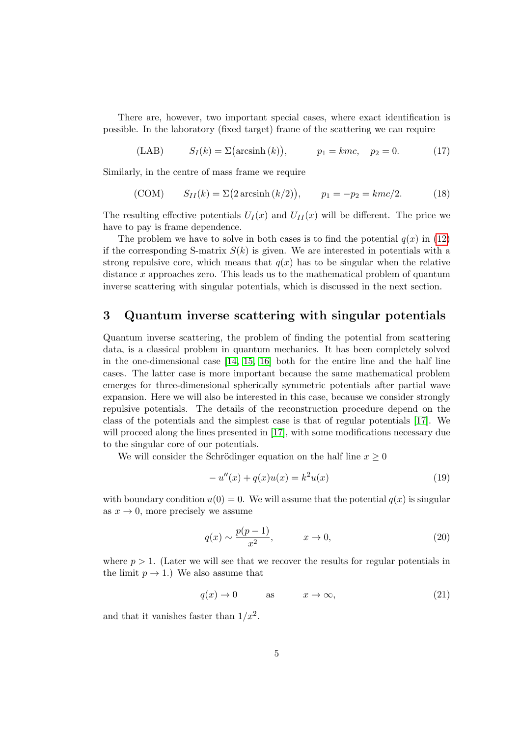There are, however, two important special cases, where exact identification is possible. In the laboratory (fixed target) frame of the scattering we can require

<span id="page-4-1"></span>(LAB)  $S_I(k) = \sum (\arcsinh(k)),$   $p_1 = kmc, \quad p_2 = 0.$  (17)

Similarly, in the centre of mass frame we require

<span id="page-4-2"></span>(COM) 
$$
S_{II}(k) = \Sigma(2 \arcsin(k/2)), \quad p_1 = -p_2 = kmc/2.
$$
 (18)

The resulting effective potentials  $U_I(x)$  and  $U_{II}(x)$  will be different. The price we have to pay is frame dependence.

The problem we have to solve in both cases is to find the potential  $q(x)$  in [\(12\)](#page-3-0) if the corresponding S-matrix  $S(k)$  is given. We are interested in potentials with a strong repulsive core, which means that  $q(x)$  has to be singular when the relative distance x approaches zero. This leads us to the mathematical problem of quantum inverse scattering with singular potentials, which is discussed in the next section.

### 3 Quantum inverse scattering with singular potentials

Quantum inverse scattering, the problem of finding the potential from scattering data, is a classical problem in quantum mechanics. It has been completely solved in the one-dimensional case [\[14,](#page-22-4) [15,](#page-22-5) [16\]](#page-22-6) both for the entire line and the half line cases. The latter case is more important because the same mathematical problem emerges for three-dimensional spherically symmetric potentials after partial wave expansion. Here we will also be interested in this case, because we consider strongly repulsive potentials. The details of the reconstruction procedure depend on the class of the potentials and the simplest case is that of regular potentials [\[17\]](#page-22-7). We will proceed along the lines presented in [\[17\]](#page-22-7), with some modifications necessary due to the singular core of our potentials.

We will consider the Schrödinger equation on the half line  $x \geq 0$ 

<span id="page-4-0"></span>
$$
-u''(x) + q(x)u(x) = k^2u(x)
$$
\n(19)

with boundary condition  $u(0) = 0$ . We will assume that the potential  $q(x)$  is singular as  $x \to 0$ , more precisely we assume

$$
q(x) \sim \frac{p(p-1)}{x^2}, \qquad x \to 0,
$$
\n(20)

where  $p > 1$ . (Later we will see that we recover the results for regular potentials in the limit  $p \to 1$ .) We also assume that

$$
q(x) \to 0 \qquad \text{as} \qquad x \to \infty, \tag{21}
$$

and that it vanishes faster than  $1/x^2$ .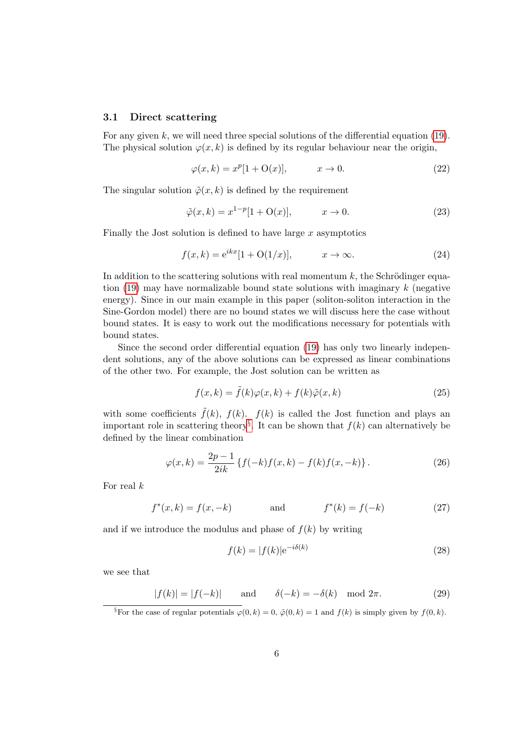#### 3.1 Direct scattering

For any given  $k$ , we will need three special solutions of the differential equation [\(19\)](#page-4-0). The physical solution  $\varphi(x, k)$  is defined by its regular behaviour near the origin,

$$
\varphi(x,k) = x^p[1 + \mathcal{O}(x)], \qquad x \to 0. \tag{22}
$$

The singular solution  $\tilde{\varphi}(x, k)$  is defined by the requirement

$$
\tilde{\varphi}(x,k) = x^{1-p}[1+\mathcal{O}(x)], \qquad x \to 0. \tag{23}
$$

Finally the Jost solution is defined to have large  $x$  asymptotics

$$
f(x,k) = e^{ikx} [1 + O(1/x)], \qquad x \to \infty.
$$
 (24)

In addition to the scattering solutions with real momentum  $k$ , the Schrödinger equation  $(19)$  may have normalizable bound state solutions with imaginary k (negative) energy). Since in our main example in this paper (soliton-soliton interaction in the Sine-Gordon model) there are no bound states we will discuss here the case without bound states. It is easy to work out the modifications necessary for potentials with bound states.

Since the second order differential equation [\(19\)](#page-4-0) has only two linearly independent solutions, any of the above solutions can be expressed as linear combinations of the other two. For example, the Jost solution can be written as

<span id="page-5-2"></span>
$$
f(x,k) = \tilde{f}(k)\varphi(x,k) + f(k)\tilde{\varphi}(x,k)
$$
\n(25)

with some coefficients  $\tilde{f}(k)$ ,  $f(k)$ .  $f(k)$  is called the Jost function and plays an important role in scattering theory<sup>[§](#page-5-0)</sup>. It can be shown that  $f(k)$  can alternatively be defined by the linear combination

<span id="page-5-1"></span>
$$
\varphi(x,k) = \frac{2p-1}{2ik} \left\{ f(-k)f(x,k) - f(k)f(x,-k) \right\}.
$$
 (26)

For real k

$$
f^*(x,k) = f(x,-k)
$$
 and  $f^*(k) = f(-k)$  (27)

and if we introduce the modulus and phase of  $f(k)$  by writing

$$
f(k) = |f(k)|e^{-i\delta(k)}\tag{28}
$$

we see that

$$
|f(k)| = |f(-k)| \quad \text{and} \quad \delta(-k) = -\delta(k) \mod 2\pi. \tag{29}
$$

<span id="page-5-0"></span><sup>§</sup>For the case of regular potentials  $\varphi(0, k) = 0$ ,  $\tilde{\varphi}(0, k) = 1$  and  $f(k)$  is simply given by  $f(0, k)$ .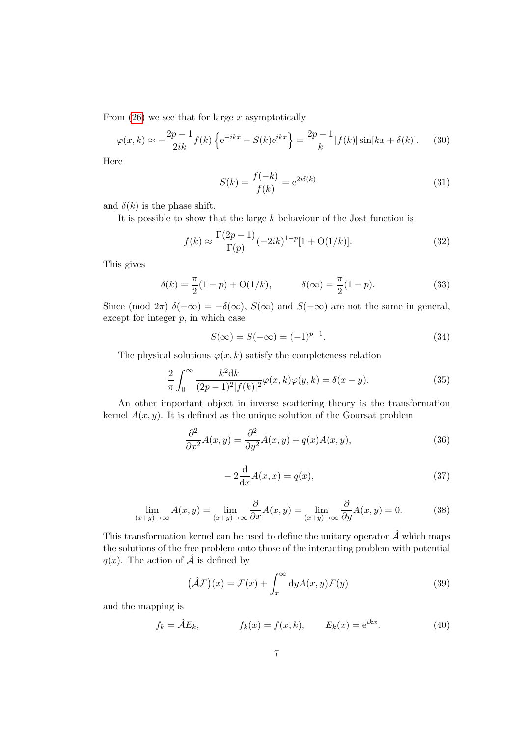From  $(26)$  we see that for large x asymptotically

$$
\varphi(x,k) \approx -\frac{2p-1}{2ik} f(k) \left\{ e^{-ikx} - S(k)e^{ikx} \right\} = \frac{2p-1}{k} |f(k)| \sin[kx + \delta(k)]. \tag{30}
$$

Here

$$
S(k) = \frac{f(-k)}{f(k)} = e^{2i\delta(k)}\tag{31}
$$

and  $\delta(k)$  is the phase shift.

It is possible to show that the large  $k$  behaviour of the Jost function is

$$
f(k) \approx \frac{\Gamma(2p-1)}{\Gamma(p)} (-2ik)^{1-p} [1 + O(1/k)].
$$
\n(32)

This gives

$$
\delta(k) = \frac{\pi}{2}(1-p) + O(1/k), \qquad \delta(\infty) = \frac{\pi}{2}(1-p). \tag{33}
$$

Since (mod  $2\pi$ )  $\delta(-\infty) = -\delta(\infty)$ ,  $S(\infty)$  and  $S(-\infty)$  are not the same in general, except for integer  $p$ , in which case

$$
S(\infty) = S(-\infty) = (-1)^{p-1}.
$$
\n(34)

The physical solutions  $\varphi(x, k)$  satisfy the completeness relation

<span id="page-6-0"></span>
$$
\frac{2}{\pi} \int_0^\infty \frac{k^2 \mathrm{d}k}{(2p-1)^2 |f(k)|^2} \varphi(x,k)\varphi(y,k) = \delta(x-y). \tag{35}
$$

An other important object in inverse scattering theory is the transformation kernel  $A(x, y)$ . It is defined as the unique solution of the Goursat problem

$$
\frac{\partial^2}{\partial x^2}A(x,y) = \frac{\partial^2}{\partial y^2}A(x,y) + q(x)A(x,y),\tag{36}
$$

$$
-2\frac{\mathrm{d}}{\mathrm{d}x}A(x,x) = q(x),\tag{37}
$$

$$
\lim_{(x+y)\to\infty} A(x,y) = \lim_{(x+y)\to\infty} \frac{\partial}{\partial x} A(x,y) = \lim_{(x+y)\to\infty} \frac{\partial}{\partial y} A(x,y) = 0.
$$
 (38)

This transformation kernel can be used to define the unitary operator  $\hat{\mathcal{A}}$  which maps the solutions of the free problem onto those of the interacting problem with potential  $q(x)$ . The action of  $\hat{\mathcal{A}}$  is defined by

$$
(\hat{\mathcal{A}}\mathcal{F})(x) = \mathcal{F}(x) + \int_x^{\infty} dy A(x, y)\mathcal{F}(y)
$$
\n(39)

and the mapping is

$$
f_k = \hat{\mathcal{A}}E_k, \qquad f_k(x) = f(x,k), \qquad E_k(x) = e^{ikx}.
$$
 (40)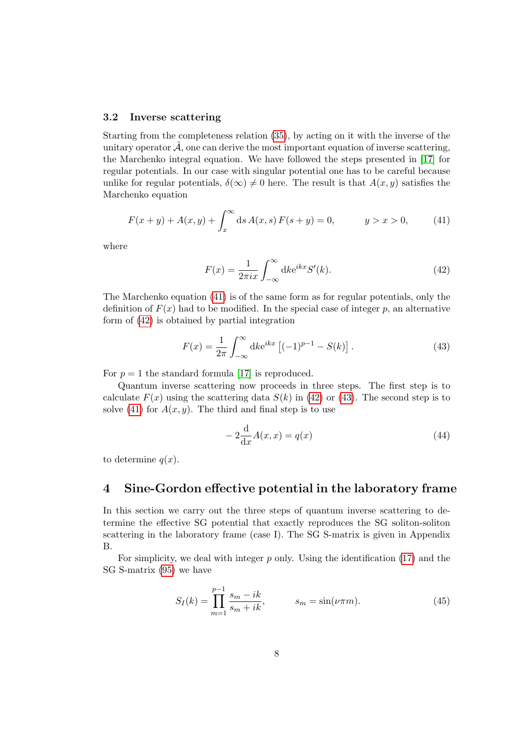#### 3.2 Inverse scattering

Starting from the completeness relation [\(35\)](#page-6-0), by acting on it with the inverse of the unitary operator  $\hat{\mathcal{A}}$ , one can derive the most important equation of inverse scattering, the Marchenko integral equation. We have followed the steps presented in [\[17\]](#page-22-7) for regular potentials. In our case with singular potential one has to be careful because unlike for regular potentials,  $\delta(\infty) \neq 0$  here. The result is that  $A(x, y)$  satisfies the Marchenko equation

<span id="page-7-0"></span>
$$
F(x + y) + A(x, y) + \int_{x}^{\infty} ds \, A(x, s) \, F(s + y) = 0, \qquad y > x > 0,\tag{41}
$$

where

<span id="page-7-1"></span>
$$
F(x) = \frac{1}{2\pi ix} \int_{-\infty}^{\infty} dk e^{ikx} S'(k).
$$
 (42)

The Marchenko equation [\(41\)](#page-7-0) is of the same form as for regular potentials, only the definition of  $F(x)$  had to be modified. In the special case of integer p, an alternative form of [\(42\)](#page-7-1) is obtained by partial integration

<span id="page-7-2"></span>
$$
F(x) = \frac{1}{2\pi} \int_{-\infty}^{\infty} dk e^{ikx} \left[ (-1)^{p-1} - S(k) \right].
$$
 (43)

For  $p = 1$  the standard formula [\[17\]](#page-22-7) is reproduced.

Quantum inverse scattering now proceeds in three steps. The first step is to calculate  $F(x)$  using the scattering data  $S(k)$  in [\(42\)](#page-7-1) or [\(43\)](#page-7-2). The second step is to solve [\(41\)](#page-7-0) for  $A(x, y)$ . The third and final step is to use

<span id="page-7-4"></span>
$$
-2\frac{\mathrm{d}}{\mathrm{d}x}A(x,x) = q(x) \tag{44}
$$

to determine  $q(x)$ .

### 4 Sine-Gordon effective potential in the laboratory frame

In this section we carry out the three steps of quantum inverse scattering to determine the effective SG potential that exactly reproduces the SG soliton-soliton scattering in the laboratory frame (case I). The SG S-matrix is given in Appendix B.

For simplicity, we deal with integer p only. Using the identification [\(17\)](#page-4-1) and the SG S-matrix [\(95\)](#page-19-0) we have

<span id="page-7-3"></span>
$$
S_I(k) = \prod_{m=1}^{p-1} \frac{s_m - ik}{s_m + ik}, \qquad s_m = \sin(\nu \pi m). \tag{45}
$$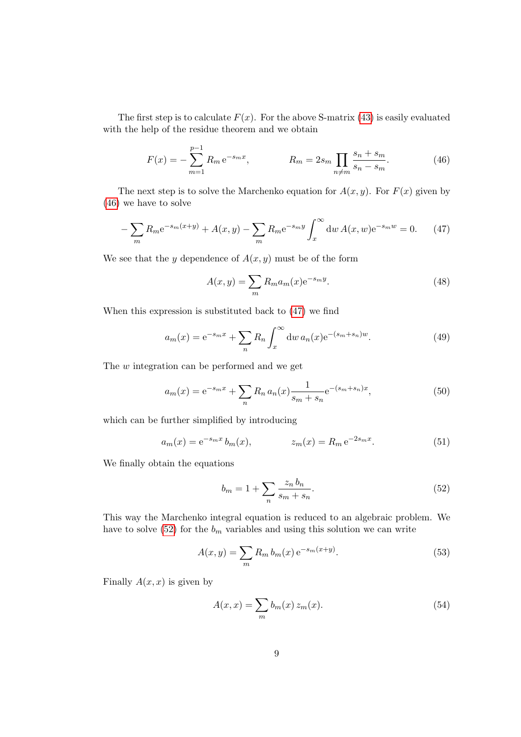The first step is to calculate  $F(x)$ . For the above S-matrix [\(43\)](#page-7-2) is easily evaluated with the help of the residue theorem and we obtain

<span id="page-8-0"></span>
$$
F(x) = -\sum_{m=1}^{p-1} R_m e^{-s_m x}, \qquad R_m = 2s_m \prod_{n \neq m} \frac{s_n + s_m}{s_n - s_m}.
$$
 (46)

The next step is to solve the Marchenko equation for  $A(x, y)$ . For  $F(x)$  given by [\(46\)](#page-8-0) we have to solve

<span id="page-8-1"></span>
$$
-\sum_{m} R_{m} e^{-s_{m}(x+y)} + A(x,y) - \sum_{m} R_{m} e^{-s_{m}y} \int_{x}^{\infty} dw \, A(x,w) e^{-s_{m}w} = 0. \tag{47}
$$

We see that the y dependence of  $A(x, y)$  must be of the form

$$
A(x,y) = \sum_{m} R_m a_m(x) e^{-s_m y}.
$$
\n(48)

When this expression is substituted back to [\(47\)](#page-8-1) we find

$$
a_m(x) = e^{-s_m x} + \sum_n R_n \int_x^{\infty} dw \, a_n(x) e^{-(s_m + s_n)w}.
$$
 (49)

The w integration can be performed and we get

$$
a_m(x) = e^{-s_m x} + \sum_n R_n a_n(x) \frac{1}{s_m + s_n} e^{-(s_m + s_n)x},
$$
\n(50)

which can be further simplified by introducing

$$
a_m(x) = e^{-s_m x} b_m(x), \qquad z_m(x) = R_m e^{-2s_m x}.
$$
 (51)

We finally obtain the equations

<span id="page-8-2"></span>
$$
b_m = 1 + \sum_n \frac{z_n b_n}{s_m + s_n}.\tag{52}
$$

This way the Marchenko integral equation is reduced to an algebraic problem. We have to solve  $(52)$  for the  $b_m$  variables and using this solution we can write

$$
A(x, y) = \sum_{m} R_{m} b_{m}(x) e^{-s_{m}(x+y)}.
$$
 (53)

Finally  $A(x, x)$  is given by

<span id="page-8-3"></span>
$$
A(x,x) = \sum_{m} b_m(x) z_m(x). \tag{54}
$$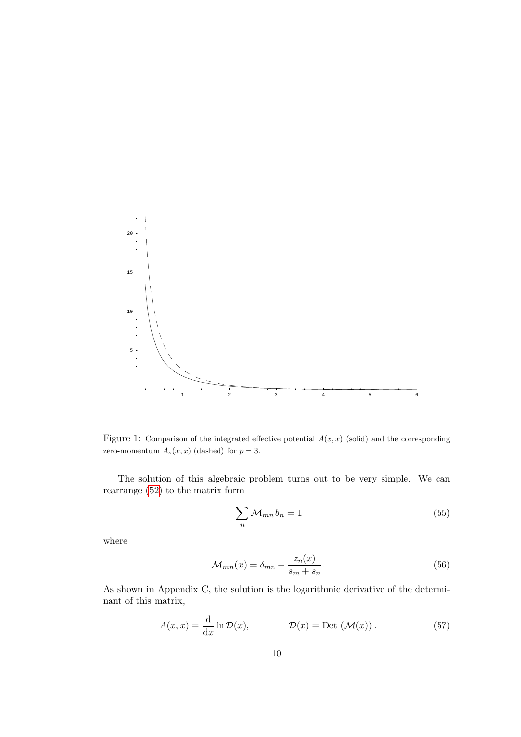

Figure 1: Comparison of the integrated effective potential  $A(x, x)$  (solid) and the corresponding zero-momentum  $A_o(x, x)$  (dashed) for  $p = 3$ .

The solution of this algebraic problem turns out to be very simple. We can rearrange [\(52\)](#page-8-2) to the matrix form

<span id="page-9-1"></span>
$$
\sum_{n} \mathcal{M}_{mn} b_n = 1 \tag{55}
$$

where

$$
\mathcal{M}_{mn}(x) = \delta_{mn} - \frac{z_n(x)}{s_m + s_n}.\tag{56}
$$

As shown in Appendix C, the solution is the logarithmic derivative of the determinant of this matrix,

<span id="page-9-0"></span>
$$
A(x,x) = \frac{d}{dx} \ln \mathcal{D}(x), \qquad \mathcal{D}(x) = \text{Det}(\mathcal{M}(x)). \qquad (57)
$$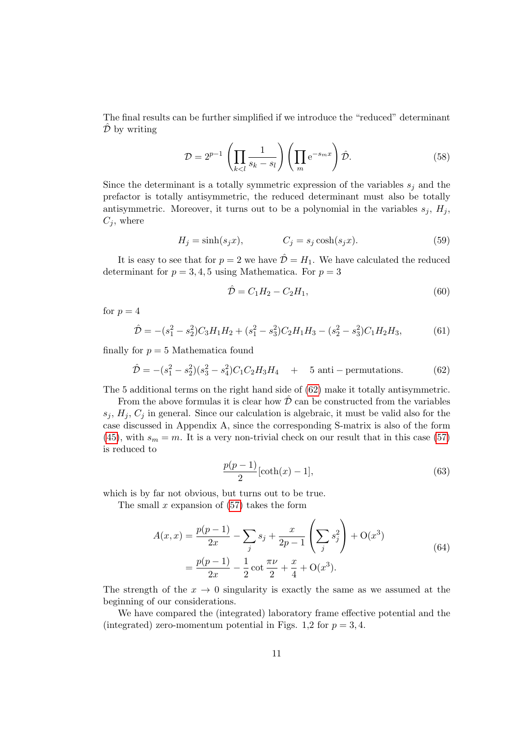The final results can be further simplified if we introduce the "reduced" determinant  $\overline{\mathcal{D}}$  by writing

$$
\mathcal{D} = 2^{p-1} \left( \prod_{k < l} \frac{1}{s_k - s_l} \right) \left( \prod_m e^{-s_m x} \right) \hat{\mathcal{D}}.\tag{58}
$$

Since the determinant is a totally symmetric expression of the variables  $s_j$  and the prefactor is totally antisymmetric, the reduced determinant must also be totally antisymmetric. Moreover, it turns out to be a polynomial in the variables  $s_i$ ,  $H_i$ ,  $C_j$ , where

$$
H_j = \sinh(s_j x), \qquad C_j = s_j \cosh(s_j x). \tag{59}
$$

It is easy to see that for  $p = 2$  we have  $\hat{\mathcal{D}} = H_1$ . We have calculated the reduced determinant for  $p = 3, 4, 5$  using Mathematica. For  $p = 3$ 

$$
\hat{\mathcal{D}} = C_1 H_2 - C_2 H_1,\tag{60}
$$

for  $p = 4$ 

$$
\hat{\mathcal{D}} = -(s_1^2 - s_2^2)C_3H_1H_2 + (s_1^2 - s_3^2)C_2H_1H_3 - (s_2^2 - s_3^2)C_1H_2H_3,\tag{61}
$$

finally for  $p = 5$  Mathematica found

<span id="page-10-0"></span>
$$
\hat{\mathcal{D}} = -(s_1^2 - s_2^2)(s_3^2 - s_4^2)C_1C_2H_3H_4 + 5 \text{ anti-permutations.}
$$
 (62)

The 5 additional terms on the right hand side of [\(62\)](#page-10-0) make it totally antisymmetric.

From the above formulas it is clear how  $\hat{\mathcal{D}}$  can be constructed from the variables  $s_i, H_i, C_i$  in general. Since our calculation is algebraic, it must be valid also for the case discussed in Appendix A, since the corresponding S-matrix is also of the form [\(45\)](#page-7-3), with  $s_m = m$ . It is a very non-trivial check on our result that in this case [\(57\)](#page-9-0) is reduced to

$$
\frac{p(p-1)}{2}[\coth(x)-1],\tag{63}
$$

which is by far not obvious, but turns out to be true.

The small  $x$  expansion of  $(57)$  takes the form

$$
A(x,x) = \frac{p(p-1)}{2x} - \sum_{j} s_j + \frac{x}{2p-1} \left( \sum_{j} s_j^2 \right) + O(x^3)
$$
  
=  $\frac{p(p-1)}{2x} - \frac{1}{2} \cot \frac{\pi \nu}{2} + \frac{x}{4} + O(x^3).$  (64)

The strength of the  $x \to 0$  singularity is exactly the same as we assumed at the beginning of our considerations.

We have compared the (integrated) laboratory frame effective potential and the (integrated) zero-momentum potential in Figs. 1,2 for  $p = 3, 4$ .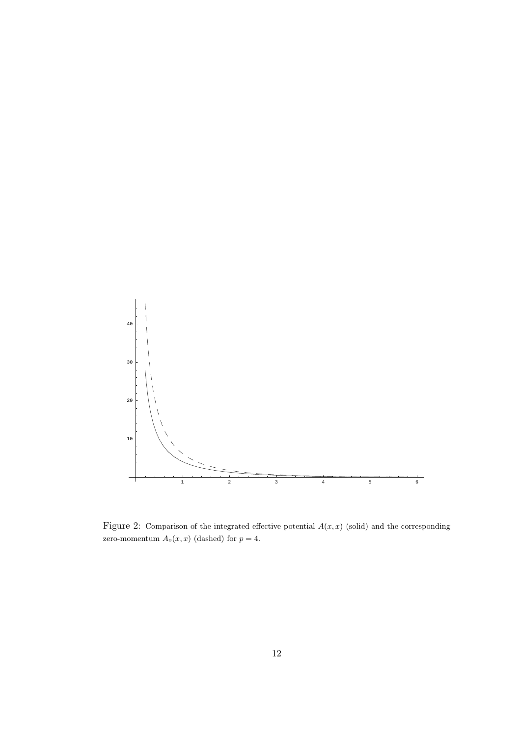

Figure 2: Comparison of the integrated effective potential  $A(x, x)$  (solid) and the corresponding zero-momentum  $A_o(x, x)$  (dashed) for  $p = 4$ .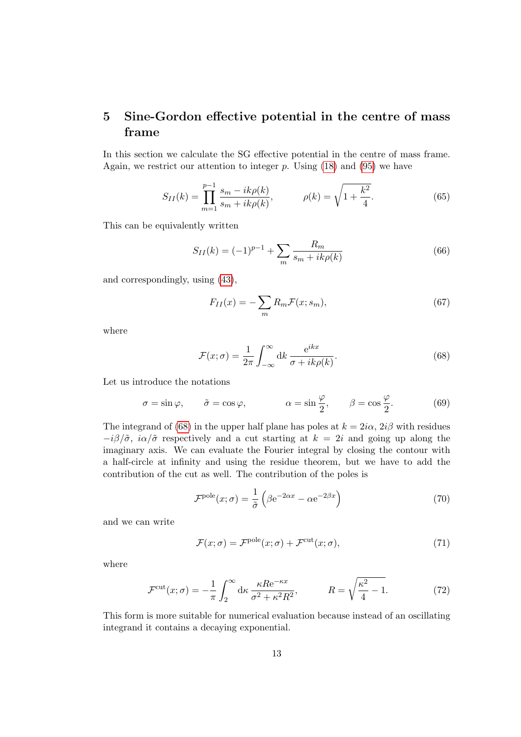# 5 Sine-Gordon effective potential in the centre of mass frame

In this section we calculate the SG effective potential in the centre of mass frame. Again, we restrict our attention to integer  $p$ . Using [\(18\)](#page-4-2) and [\(95\)](#page-19-0) we have

$$
S_{II}(k) = \prod_{m=1}^{p-1} \frac{s_m - ik\rho(k)}{s_m + ik\rho(k)}, \qquad \rho(k) = \sqrt{1 + \frac{k^2}{4}}.
$$
 (65)

This can be equivalently written

$$
S_{II}(k) = (-1)^{p-1} + \sum_{m} \frac{R_m}{s_m + ik\rho(k)}\tag{66}
$$

and correspondingly, using [\(43\)](#page-7-2),

$$
F_{II}(x) = -\sum_{m} R_m \mathcal{F}(x; s_m),\tag{67}
$$

where

<span id="page-12-0"></span>
$$
\mathcal{F}(x;\sigma) = \frac{1}{2\pi} \int_{-\infty}^{\infty} dk \, \frac{e^{ikx}}{\sigma + ik\rho(k)}.
$$
\n(68)

Let us introduce the notations

$$
\sigma = \sin \varphi, \qquad \tilde{\sigma} = \cos \varphi, \qquad \alpha = \sin \frac{\varphi}{2}, \qquad \beta = \cos \frac{\varphi}{2}.
$$
 (69)

The integrand of [\(68\)](#page-12-0) in the upper half plane has poles at  $k = 2i\alpha$ ,  $2i\beta$  with residues  $-i\beta/\tilde{\sigma}$ ,  $i\alpha/\tilde{\sigma}$  respectively and a cut starting at  $k = 2i$  and going up along the imaginary axis. We can evaluate the Fourier integral by closing the contour with a half-circle at infinity and using the residue theorem, but we have to add the contribution of the cut as well. The contribution of the poles is

$$
\mathcal{F}^{\text{pole}}(x;\sigma) = \frac{1}{\tilde{\sigma}} \left( \beta e^{-2\alpha x} - \alpha e^{-2\beta x} \right) \tag{70}
$$

and we can write

$$
\mathcal{F}(x;\sigma) = \mathcal{F}^{\text{pole}}(x;\sigma) + \mathcal{F}^{\text{cut}}(x;\sigma),\tag{71}
$$

where

$$
\mathcal{F}^{\text{cut}}(x;\sigma) = -\frac{1}{\pi} \int_2^{\infty} d\kappa \, \frac{\kappa R e^{-\kappa x}}{\sigma^2 + \kappa^2 R^2}, \qquad R = \sqrt{\frac{\kappa^2}{4} - 1}.
$$
 (72)

This form is more suitable for numerical evaluation because instead of an oscillating integrand it contains a decaying exponential.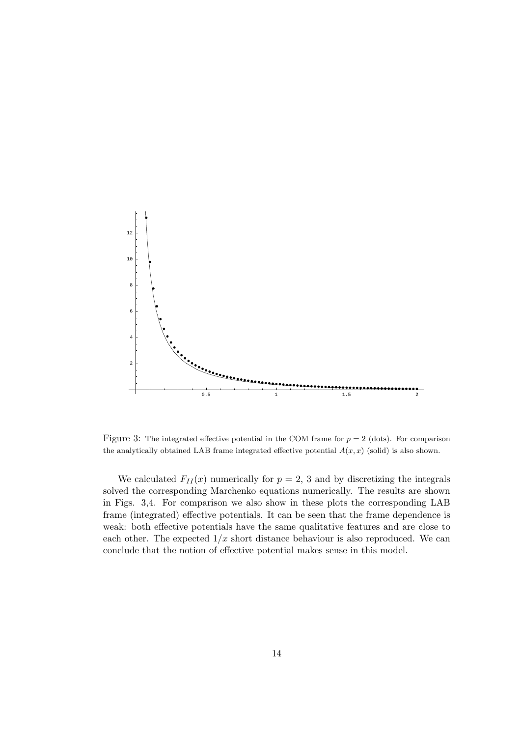

Figure 3: The integrated effective potential in the COM frame for  $p = 2$  (dots). For comparison the analytically obtained LAB frame integrated effective potential  $A(x, x)$  (solid) is also shown.

We calculated  $F_{II}(x)$  numerically for  $p = 2, 3$  and by discretizing the integrals solved the corresponding Marchenko equations numerically. The results are shown in Figs. 3,4. For comparison we also show in these plots the corresponding LAB frame (integrated) effective potentials. It can be seen that the frame dependence is weak: both effective potentials have the same qualitative features and are close to each other. The expected  $1/x$  short distance behaviour is also reproduced. We can conclude that the notion of effective potential makes sense in this model.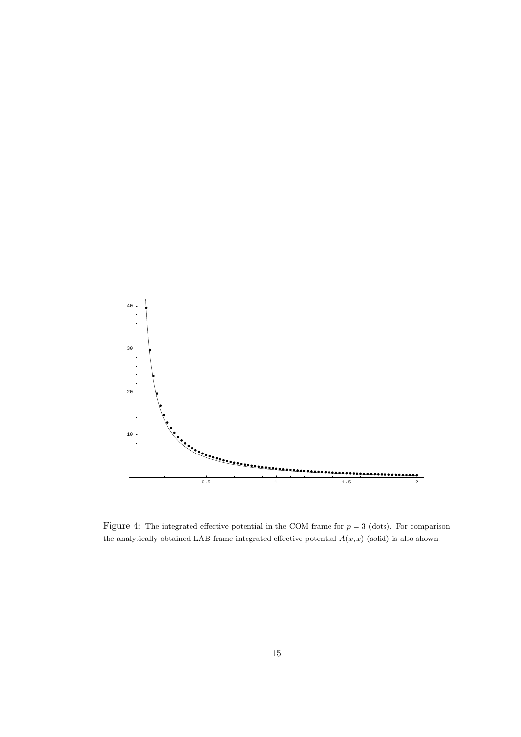

Figure 4: The integrated effective potential in the COM frame for  $p = 3$  (dots). For comparison the analytically obtained LAB frame integrated effective potential  $A(x, x)$  (solid) is also shown.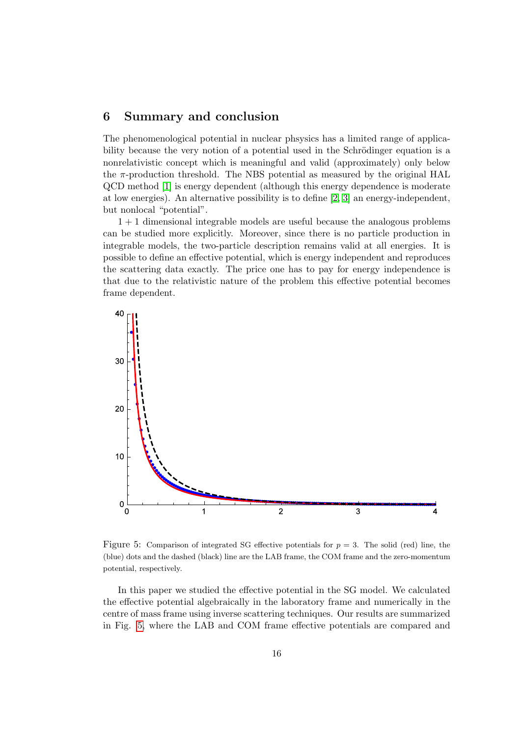### 6 Summary and conclusion

The phenomenological potential in nuclear phsysics has a limited range of applicability because the very notion of a potential used in the Schrödinger equation is a nonrelativistic concept which is meaningful and valid (approximately) only below the  $\pi$ -production threshold. The NBS potential as measured by the original HAL QCD method [\[1\]](#page-21-0) is energy dependent (although this energy dependence is moderate at low energies). An alternative possibility is to define [\[2,](#page-21-1) [3\]](#page-21-2) an energy-independent, but nonlocal "potential".

1 + 1 dimensional integrable models are useful because the analogous problems can be studied more explicitly. Moreover, since there is no particle production in integrable models, the two-particle description remains valid at all energies. It is possible to define an effective potential, which is energy independent and reproduces the scattering data exactly. The price one has to pay for energy independence is that due to the relativistic nature of the problem this effective potential becomes frame dependent.



<span id="page-15-0"></span>Figure 5: Comparison of integrated SG effective potentials for  $p = 3$ . The solid (red) line, the (blue) dots and the dashed (black) line are the LAB frame, the COM frame and the zero-momentum potential, respectively.

In this paper we studied the effective potential in the SG model. We calculated the effective potential algebraically in the laboratory frame and numerically in the centre of mass frame using inverse scattering techniques. Our results are summarized in Fig. [5,](#page-15-0) where the LAB and COM frame effective potentials are compared and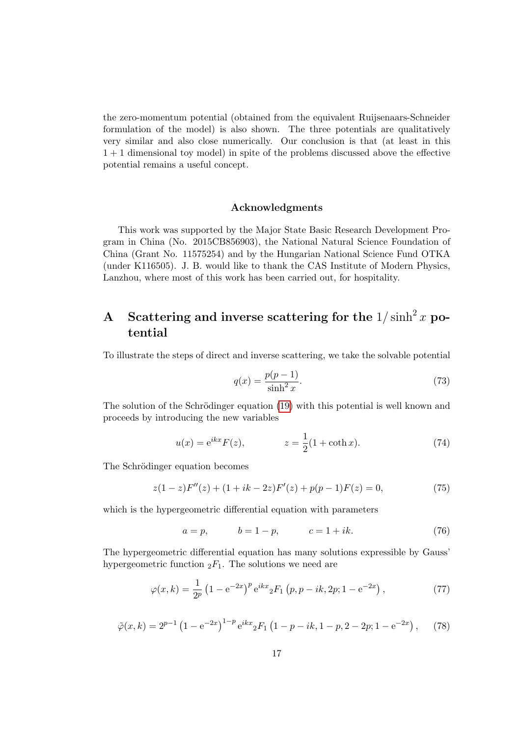the zero-momentum potential (obtained from the equivalent Ruijsenaars-Schneider formulation of the model) is also shown. The three potentials are qualitatively very similar and also close numerically. Our conclusion is that (at least in this 1 + 1 dimensional toy model) in spite of the problems discussed above the effective potential remains a useful concept.

#### Acknowledgments

This work was supported by the Major State Basic Research Development Program in China (No. 2015CB856903), the National Natural Science Foundation of China (Grant No. 11575254) and by the Hungarian National Science Fund OTKA (under K116505). J. B. would like to thank the CAS Institute of Modern Physics, Lanzhou, where most of this work has been carried out, for hospitality.

# A Scattering and inverse scattering for the  $1/\sinh^2 x$  potential

To illustrate the steps of direct and inverse scattering, we take the solvable potential

<span id="page-16-0"></span>
$$
q(x) = \frac{p(p-1)}{\sinh^2 x}.
$$
 (73)

The solution of the Schrödinger equation [\(19\)](#page-4-0) with this potential is well known and proceeds by introducing the new variables

$$
u(x) = e^{ikx} F(z), \qquad z = \frac{1}{2} (1 + \coth x). \tag{74}
$$

The Schrödinger equation becomes

$$
z(1-z)F''(z) + (1+ik-2z)F'(z) + p(p-1)F(z) = 0,
$$
\n(75)

which is the hypergeometric differential equation with parameters

$$
a = p,
$$
  $b = 1 - p,$   $c = 1 + ik.$  (76)

The hypergeometric differential equation has many solutions expressible by Gauss' hypergeometric function  ${}_2F_1$ . The solutions we need are

$$
\varphi(x,k) = \frac{1}{2^p} \left( 1 - e^{-2x} \right)^p e^{ikx} {}_2F_1 \left( p, p - ik, 2p; 1 - e^{-2x} \right),\tag{77}
$$

$$
\tilde{\varphi}(x,k) = 2^{p-1} \left( 1 - e^{-2x} \right)^{1-p} e^{ikx} {}_{2}F_{1} \left( 1 - p - ik, 1 - p, 2 - 2p; 1 - e^{-2x} \right), \tag{78}
$$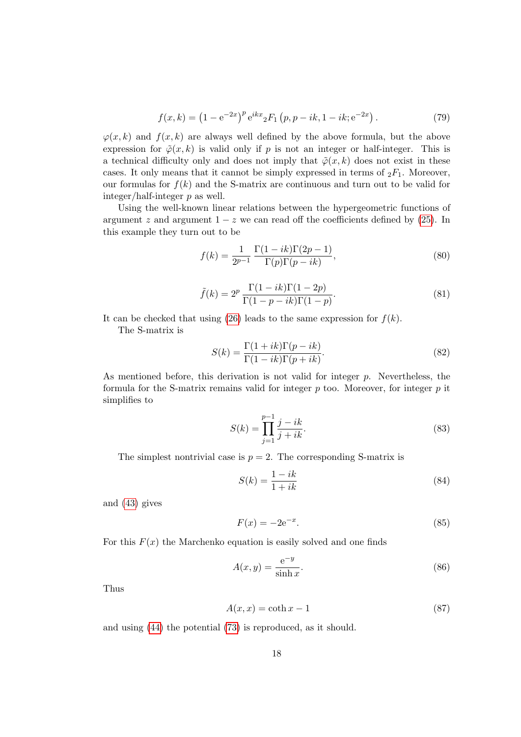$$
f(x,k) = (1 - e^{-2x})^p e^{ikx} {}_2F_1(p, p - ik, 1 - ik; e^{-2x}).
$$
 (79)

 $\varphi(x, k)$  and  $f(x, k)$  are always well defined by the above formula, but the above expression for  $\tilde{\varphi}(x, k)$  is valid only if p is not an integer or half-integer. This is a technical difficulty only and does not imply that  $\tilde{\varphi}(x, k)$  does not exist in these cases. It only means that it cannot be simply expressed in terms of  $_2F_1$ . Moreover, our formulas for  $f(k)$  and the S-matrix are continuous and turn out to be valid for integer/half-integer p as well.

Using the well-known linear relations between the hypergeometric functions of argument z and argument  $1 - z$  we can read off the coefficients defined by [\(25\)](#page-5-2). In this example they turn out to be

$$
f(k) = \frac{1}{2^{p-1}} \frac{\Gamma(1-ik)\Gamma(2p-1)}{\Gamma(p)\Gamma(p-ik)},
$$
\n(80)

$$
\tilde{f}(k) = 2^p \frac{\Gamma(1 - ik)\Gamma(1 - 2p)}{\Gamma(1 - p - ik)\Gamma(1 - p)}.
$$
\n(81)

It can be checked that using [\(26\)](#page-5-1) leads to the same expression for  $f(k)$ .

The S-matrix is

$$
S(k) = \frac{\Gamma(1+ik)\Gamma(p-ik)}{\Gamma(1-ik)\Gamma(p+ik)}.
$$
\n(82)

As mentioned before, this derivation is not valid for integer  $p$ . Nevertheless, the formula for the S-matrix remains valid for integer  $p$  too. Moreover, for integer  $p$  it simplifies to

$$
S(k) = \prod_{j=1}^{p-1} \frac{j-ik}{j+ik}.
$$
\n(83)

The simplest nontrivial case is  $p = 2$ . The corresponding S-matrix is

$$
S(k) = \frac{1 - ik}{1 + ik} \tag{84}
$$

and [\(43\)](#page-7-2) gives

$$
F(x) = -2e^{-x}.
$$
 (85)

For this  $F(x)$  the Marchenko equation is easily solved and one finds

$$
A(x,y) = \frac{e^{-y}}{\sinh x}.\tag{86}
$$

Thus

$$
A(x,x) = \coth x - 1\tag{87}
$$

and using [\(44\)](#page-7-4) the potential [\(73\)](#page-16-0) is reproduced, as it should.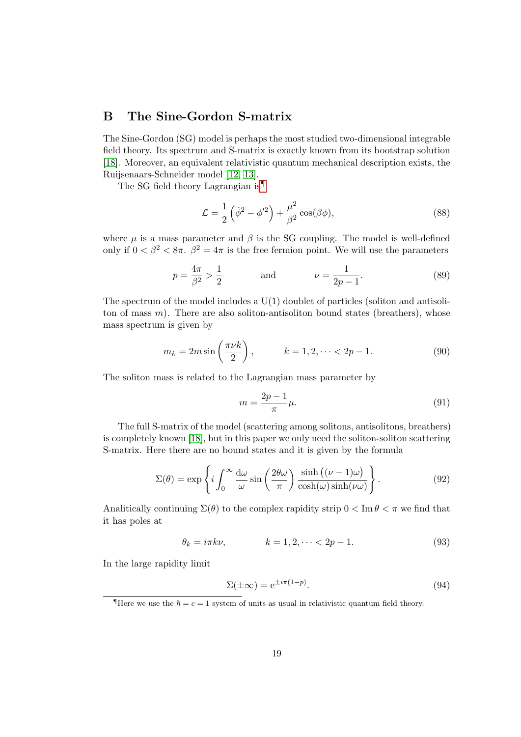## B The Sine-Gordon S-matrix

The Sine-Gordon (SG) model is perhaps the most studied two-dimensional integrable field theory. Its spectrum and S-matrix is exactly known from its bootstrap solution [\[18\]](#page-22-8). Moreover, an equivalent relativistic quantum mechanical description exists, the Ruijsenaars-Schneider model [\[12,](#page-22-2) [13\]](#page-22-3).

The SG field theory Lagrangian is<sup>9</sup>

$$
\mathcal{L} = \frac{1}{2} \left( \dot{\phi}^2 - \phi'^2 \right) + \frac{\mu^2}{\beta^2} \cos(\beta \phi),\tag{88}
$$

where  $\mu$  is a mass parameter and  $\beta$  is the SG coupling. The model is well-defined only if  $0 < \beta^2 < 8\pi$ .  $\beta^2 = 4\pi$  is the free fermion point. We will use the parameters

$$
p = \frac{4\pi}{\beta^2} > \frac{1}{2}
$$
 and  $\nu = \frac{1}{2p-1}$ . (89)

The spectrum of the model includes a  $U(1)$  doublet of particles (soliton and antisoliton of mass  $m$ ). There are also soliton-antisoliton bound states (breathers), whose mass spectrum is given by

$$
m_k = 2m \sin\left(\frac{\pi \nu k}{2}\right), \qquad k = 1, 2, \dots < 2p - 1.
$$
 (90)

The soliton mass is related to the Lagrangian mass parameter by

$$
m = \frac{2p - 1}{\pi} \mu.
$$
\n<sup>(91)</sup>

The full S-matrix of the model (scattering among solitons, antisolitons, breathers) is completely known [\[18\]](#page-22-8), but in this paper we only need the soliton-soliton scattering S-matrix. Here there are no bound states and it is given by the formula

$$
\Sigma(\theta) = \exp\left\{i \int_0^\infty \frac{d\omega}{\omega} \sin\left(\frac{2\theta\omega}{\pi}\right) \frac{\sinh\left((\nu - 1)\omega\right)}{\cosh(\omega)\sinh(\nu\omega)}\right\}.
$$
\n(92)

Analitically continuing  $\Sigma(\theta)$  to the complex rapidity strip  $0 < \text{Im } \theta < \pi$  we find that it has poles at

$$
\theta_k = i\pi k\nu, \qquad k = 1, 2, \dots < 2p - 1. \tag{93}
$$

In the large rapidity limit

$$
\Sigma(\pm \infty) = e^{\pm i\pi(1-p)}.
$$
\n(94)

<span id="page-18-0"></span>There we use the  $\hbar = c = 1$  system of units as usual in relativistic quantum field theory.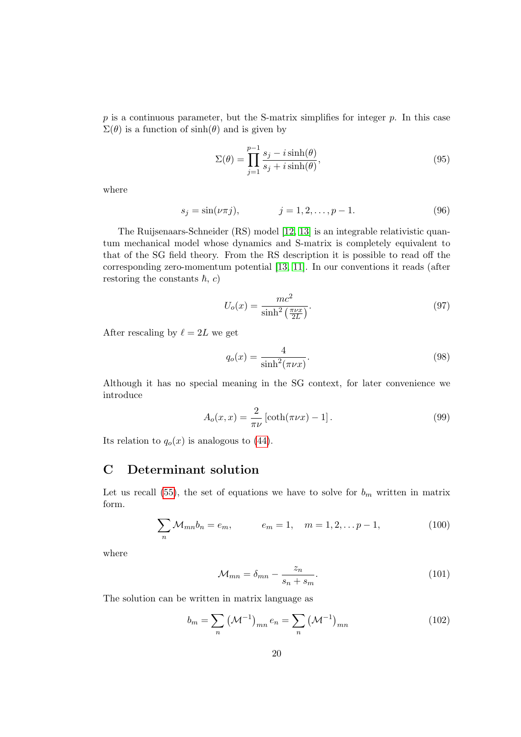$p$  is a continuous parameter, but the S-matrix simplifies for integer  $p$ . In this case  $\Sigma(\theta)$  is a function of  $sinh(\theta)$  and is given by

<span id="page-19-0"></span>
$$
\Sigma(\theta) = \prod_{j=1}^{p-1} \frac{s_j - i \sinh(\theta)}{s_j + i \sinh(\theta)},
$$
\n(95)

where

$$
s_j = \sin(\nu \pi j), \qquad j = 1, 2, \dots, p - 1. \tag{96}
$$

The Ruijsenaars-Schneider (RS) model [\[12,](#page-22-2) [13\]](#page-22-3) is an integrable relativistic quantum mechanical model whose dynamics and S-matrix is completely equivalent to that of the SG field theory. From the RS description it is possible to read off the corresponding zero-momentum potential [\[13,](#page-22-3) [11\]](#page-22-1). In our conventions it reads (after restoring the constants  $\hbar$ , c)

$$
U_o(x) = \frac{mc^2}{\sinh^2\left(\frac{\pi\nu x}{2L}\right)}.\tag{97}
$$

After rescaling by  $\ell = 2L$  we get

$$
q_o(x) = \frac{4}{\sinh^2(\pi\nu x)}.\tag{98}
$$

Although it has no special meaning in the SG context, for later convenience we introduce

$$
A_o(x,x) = \frac{2}{\pi \nu} \left[ \coth(\pi \nu x) - 1 \right]. \tag{99}
$$

Its relation to  $q_o(x)$  is analogous to [\(44\)](#page-7-4).

## C Determinant solution

Let us recall [\(55\)](#page-9-1), the set of equations we have to solve for  $b_m$  written in matrix form.

$$
\sum_{n} M_{mn} b_n = e_m, \qquad e_m = 1, \quad m = 1, 2, \dots p - 1,
$$
 (100)

where

<span id="page-19-1"></span>
$$
\mathcal{M}_{mn} = \delta_{mn} - \frac{z_n}{s_n + s_m}.\tag{101}
$$

The solution can be written in matrix language as

$$
b_m = \sum_{n} (\mathcal{M}^{-1})_{mn} e_n = \sum_{n} (\mathcal{M}^{-1})_{mn}
$$
 (102)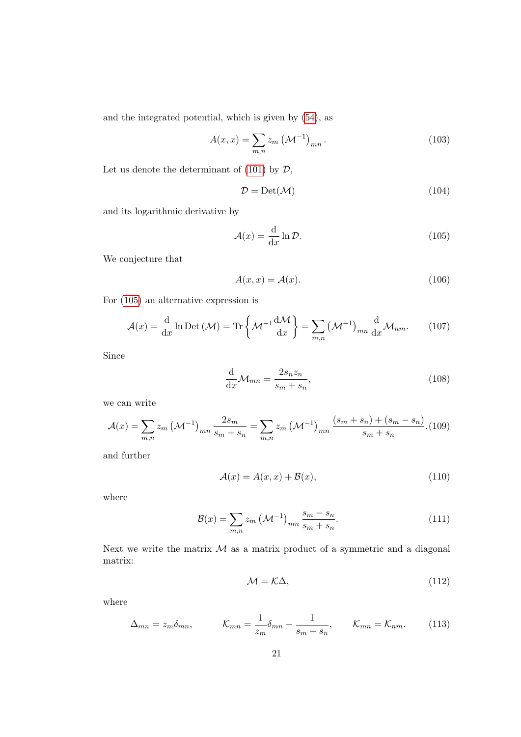and the integrated potential, which is given by [\(54\)](#page-8-3), as

$$
A(x,x) = \sum_{m,n} z_m \left(\mathcal{M}^{-1}\right)_{mn}.
$$
 (103)

Let us denote the determinant of [\(101\)](#page-19-1) by  $\mathcal{D}$ ,

$$
\mathcal{D} = \text{Det}(\mathcal{M})\tag{104}
$$

and its logarithmic derivative by

<span id="page-20-0"></span>
$$
\mathcal{A}(x) = \frac{\mathrm{d}}{\mathrm{d}x} \ln \mathcal{D}.\tag{105}
$$

We conjecture that

$$
A(x,x) = \mathcal{A}(x). \tag{106}
$$

For [\(105\)](#page-20-0) an alternative expression is

$$
\mathcal{A}(x) = \frac{\mathrm{d}}{\mathrm{d}x} \ln \mathrm{Det}\left(\mathcal{M}\right) = \mathrm{Tr}\left\{\mathcal{M}^{-1} \frac{\mathrm{d}\mathcal{M}}{\mathrm{d}x}\right\} = \sum_{m,n} \left(\mathcal{M}^{-1}\right)_{mn} \frac{\mathrm{d}}{\mathrm{d}x} \mathcal{M}_{nm}.
$$
 (107)

Since

$$
\frac{\mathrm{d}}{\mathrm{d}x} \mathcal{M}_{mn} = \frac{2s_n z_n}{s_m + s_n},\tag{108}
$$

we can write

$$
\mathcal{A}(x) = \sum_{m,n} z_m \left( \mathcal{M}^{-1} \right)_{mn} \frac{2s_m}{s_m + s_n} = \sum_{m,n} z_m \left( \mathcal{M}^{-1} \right)_{mn} \frac{(s_m + s_n) + (s_m - s_n)}{s_m + s_n}.
$$
(109)

and further

$$
\mathcal{A}(x) = A(x, x) + \mathcal{B}(x),\tag{110}
$$

where

$$
\mathcal{B}(x) = \sum_{m,n} z_m \left( \mathcal{M}^{-1} \right)_{mn} \frac{s_m - s_n}{s_m + s_n}.
$$
 (111)

Next we write the matrix  $M$  as a matrix product of a symmetric and a diagonal matrix:

$$
\mathcal{M} = \mathcal{K}\Delta,\tag{112}
$$

where

$$
\Delta_{mn} = z_m \delta_{mn}, \qquad \mathcal{K}_{mn} = \frac{1}{z_m} \delta_{mn} - \frac{1}{s_m + s_n}, \qquad \mathcal{K}_{mn} = \mathcal{K}_{nm}. \qquad (113)
$$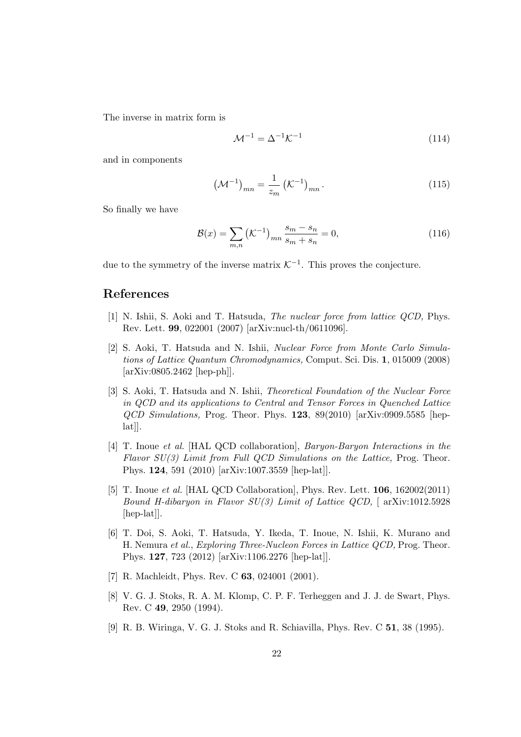The inverse in matrix form is

$$
\mathcal{M}^{-1} = \Delta^{-1} \mathcal{K}^{-1} \tag{114}
$$

and in components

$$
\left(\mathcal{M}^{-1}\right)_{mn} = \frac{1}{z_m} \left(\mathcal{K}^{-1}\right)_{mn}.
$$
\n(115)

So finally we have

$$
\mathcal{B}(x) = \sum_{m,n} \left( \mathcal{K}^{-1} \right)_{mn} \frac{s_m - s_n}{s_m + s_n} = 0,
$$
\n(116)

due to the symmetry of the inverse matrix  $K^{-1}$ . This proves the conjecture.

### References

- <span id="page-21-0"></span>[1] N. Ishii, S. Aoki and T. Hatsuda, The nuclear force from lattice QCD, Phys. Rev. Lett. 99, 022001 (2007) [arXiv:nucl-th/0611096].
- <span id="page-21-1"></span>[2] S. Aoki, T. Hatsuda and N. Ishii, Nuclear Force from Monte Carlo Simulations of Lattice Quantum Chromodynamics, Comput. Sci. Dis. 1, 015009 (2008) [arXiv:0805.2462 [hep-ph]].
- <span id="page-21-2"></span>[3] S. Aoki, T. Hatsuda and N. Ishii, Theoretical Foundation of the Nuclear Force in QCD and its applications to Central and Tensor Forces in Quenched Lattice  $QCD$  Simulations, Prog. Theor. Phys. 123,  $89(2010)$  [arXiv:0909.5585 [hep- $\lbrack \text{lat} \rbrack$ .
- <span id="page-21-3"></span>[4] T. Inoue et al. [HAL QCD collaboration], Baryon-Baryon Interactions in the Flavor SU(3) Limit from Full QCD Simulations on the Lattice, Prog. Theor. Phys. 124, 591 (2010) [arXiv:1007.3559 [hep-lat]].
- <span id="page-21-4"></span>[5] T. Inoue et al. [HAL QCD Collaboration], Phys. Rev. Lett. 106, 162002(2011) Bound H-dibaryon in Flavor  $SU(3)$  Limit of Lattice QCD,  $\lceil$  arXiv:1012.5928 [hep-lat]].
- <span id="page-21-5"></span>[6] T. Doi, S. Aoki, T. Hatsuda, Y. Ikeda, T. Inoue, N. Ishii, K. Murano and H. Nemura et al., Exploring Three-Nucleon Forces in Lattice QCD, Prog. Theor. Phys. 127, 723 (2012) [arXiv:1106.2276 [hep-lat]].
- <span id="page-21-6"></span>[7] R. Machleidt, Phys. Rev. C **63**, 024001 (2001).
- <span id="page-21-7"></span>[8] V. G. J. Stoks, R. A. M. Klomp, C. P. F. Terheggen and J. J. de Swart, Phys. Rev. C 49, 2950 (1994).
- <span id="page-21-8"></span>[9] R. B. Wiringa, V. G. J. Stoks and R. Schiavilla, Phys. Rev. C 51, 38 (1995).